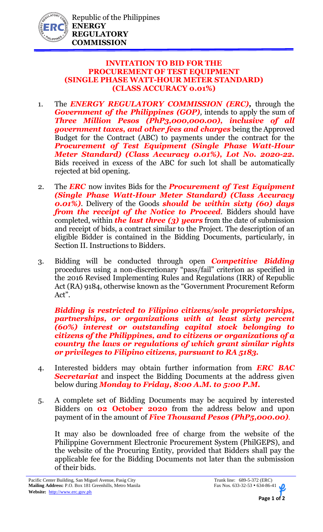

## **INVITATION TO BID FOR THE PROCUREMENT OF TEST EQUIPMENT (SINGLE PHASE WATT-HOUR METER STANDARD) (CLASS ACCURACY 0.01%)**

- 1. The *ENERGY REGULATORY COMMISSION (ERC),* through the *Government of the Philippines (GOP)*, intends to apply the sum of *Three Million Pesos (PhP3,000,000.00), inclusive of all government taxes, and other fees and charges* being the Approved Budget for the Contract (ABC) to payments under the contract for the *Procurement of Test Equipment (Single Phase Watt-Hour Meter Standard) (Class Accuracy 0.01%), Lot No. 2020-22.* Bids received in excess of the ABC for such lot shall be automatically rejected at bid opening.
- 2. The *ERC* now invites Bids for the *Procurement of Test Equipment (Single Phase Watt-Hour Meter Standard) (Class Accuracy 0.01%)*. Delivery of the Goods *should be within sixty (60) days from the receipt of the Notice to Proceed.* Bidders should have completed, within *the last three (3) years* from the date of submission and receipt of bids, a contract similar to the Project. The description of an eligible Bidder is contained in the Bidding Documents, particularly, in Section II. Instructions to Bidders.
- 3. Bidding will be conducted through open *Competitive Bidding* procedures using a non-discretionary "pass/fail" criterion as specified in the 2016 Revised Implementing Rules and Regulations (IRR) of Republic Act (RA) 9184, otherwise known as the "Government Procurement Reform Act".

*Bidding is restricted to Filipino citizens/sole proprietorships, partnerships, or organizations with at least sixty percent (60%) interest or outstanding capital stock belonging to citizens of the Philippines, and to citizens or organizations of a country the laws or regulations of which grant similar rights or privileges to Filipino citizens, pursuant to RA 5183.*

- 4. Interested bidders may obtain further information from *ERC BAC Secretariat* and inspect the Bidding Documents at the address given below during *Monday to Friday, 8:00 A.M. to 5:00 P.M.*
- 5. A complete set of Bidding Documents may be acquired by interested Bidders on **02 October 2020** from the address below and upon payment of in the amount of *Five Thousand Pesos (PhP5,000.00).*

It may also be downloaded free of charge from the website of the Philippine Government Electronic Procurement System (PhilGEPS), and the website of the Procuring Entity, provided that Bidders shall pay the applicable fee for the Bidding Documents not later than the submission of their bids.